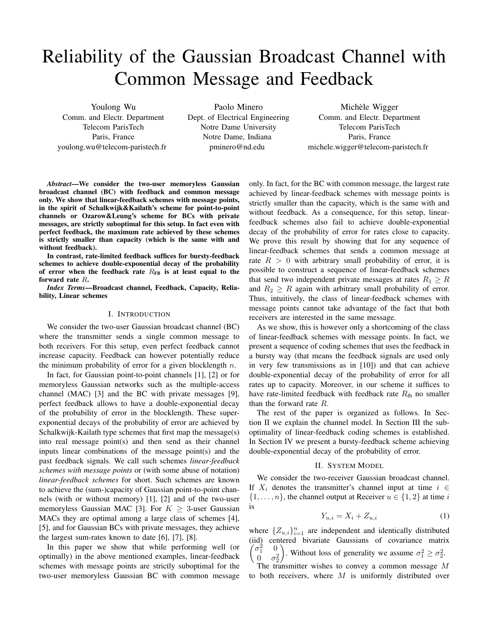# Reliability of the Gaussian Broadcast Channel with Common Message and Feedback

Youlong Wu Comm. and Electr. Department Telecom ParisTech Paris, France youlong.wu@telecom-paristech.fr

Paolo Minero Dept. of Electrical Engineering Notre Dame University Notre Dame, Indiana pminero@nd.edu

Michèle Wigger Comm. and Electr. Department Telecom ParisTech Paris, France michele.wigger@telecom-paristech.fr

*Abstract*—We consider the two-user memoryless Gaussian broadcast channel (BC) with feedback and common message only. We show that linear-feedback schemes with message points, in the spirit of Schalkwijk&Kailath's scheme for point-to-point channels or Ozarow&Leung's scheme for BCs with private messages, are strictly suboptimal for this setup. In fact even with perfect feedback, the maximum rate achieved by these schemes is strictly smaller than capacity (which is the same with and without feedback).

In contrast, rate-limited feedback suffices for bursty-feedback schemes to achieve double-exponential decay of the probability of error when the feedback rate  $R_{FB}$  is at least equal to the forward rate R.

*Index Terms*—Broadcast channel, Feedback, Capacity, Reliability, Linear schemes

#### I. INTRODUCTION

We consider the two-user Gaussian broadcast channel (BC) where the transmitter sends a single common message to both receivers. For this setup, even perfect feedback cannot increase capacity. Feedback can however potentially reduce the minimum probability of error for a given blocklength  $n$ .

In fact, for Gaussian point-to-point channels [1], [2] or for memoryless Gaussian networks such as the multiple-access channel (MAC) [3] and the BC with private messages [9], perfect feedback allows to have a double-exponential decay of the probability of error in the blocklength. These superexponential decays of the probability of error are achieved by Schalkwijk-Kailath type schemes that first map the message(s) into real message point(s) and then send as their channel inputs linear combinations of the message point(s) and the past feedback signals. We call such schemes *linear-feedback schemes with message points* or (with some abuse of notation) *linear-feedback schemes* for short. Such schemes are known to achieve the (sum-)capacity of Gaussian point-to-point channels (with or without memory) [1], [2] and of the two-user memoryless Gaussian MAC [3]. For  $K \geq 3$ -user Gaussian MACs they are optimal among a large class of schemes [4], [5], and for Gaussian BCs with private messages, they achieve the largest sum-rates known to date [6], [7], [8].

In this paper we show that while performing well (or optimally) in the above mentioned examples, linear-feedback schemes with message points are strictly suboptimal for the two-user memoryless Gaussian BC with common message only. In fact, for the BC with common message, the largest rate achieved by linear-feedback schemes with message points is strictly smaller than the capacity, which is the same with and without feedback. As a consequence, for this setup, linearfeedback schemes also fail to achieve double-exponential decay of the probability of error for rates close to capacity. We prove this result by showing that for any sequence of linear-feedback schemes that sends a common message at rate  $R > 0$  with arbitrary small probability of error, it is possible to construct a sequence of linear-feedback schemes that send two independent private messages at rates  $R_1 \geq R$ and  $R_2 \geq R$  again with arbitrary small probability of error. Thus, intuitively, the class of linear-feedback schemes with message points cannot take advantage of the fact that both receivers are interested in the same message.

As we show, this is however only a shortcoming of the class of linear-feedback schemes with message points. In fact, we present a sequence of coding schemes that uses the feedback in a bursty way (that means the feedback signals are used only in very few transmissions as in [10]) and that can achieve double-exponential decay of the probability of error for all rates up to capacity. Moreover, in our scheme it suffices to have rate-limited feedback with feedback rate  $R_{\text{fb}}$  no smaller than the forward rate R.

The rest of the paper is organized as follows. In Section II we explain the channel model. In Section III the suboptimality of linear-feedback coding schemes is established. In Section IV we present a bursty-feedback scheme achieving double-exponential decay of the probability of error.

## II. SYSTEM MODEL

We consider the two-receiver Gaussian broadcast channel. If  $X_i$  denotes the transmitter's channel input at time  $i \in$  $\{1, \ldots, n\}$ , the channel output at Receiver  $u \in \{1, 2\}$  at time i is

$$
Y_{u,i} = X_i + Z_{u,i} \tag{1}
$$

where  $\{Z_{u,i}\}_{i=1}^n$  are independent and identically distributed (iid) centered bivariate Gaussians of covariance matrix  $\sqrt{\sigma_1^2}$  $\frac{2}{1}$  0  $\frac{0}{2}$   $\sigma_2^2$ ). Without loss of generality we assume  $\sigma_1^2 \ge \sigma_2^2$ . The transmitter wishes to convey a common message  $M$ to both receivers, where  $M$  is uniformly distributed over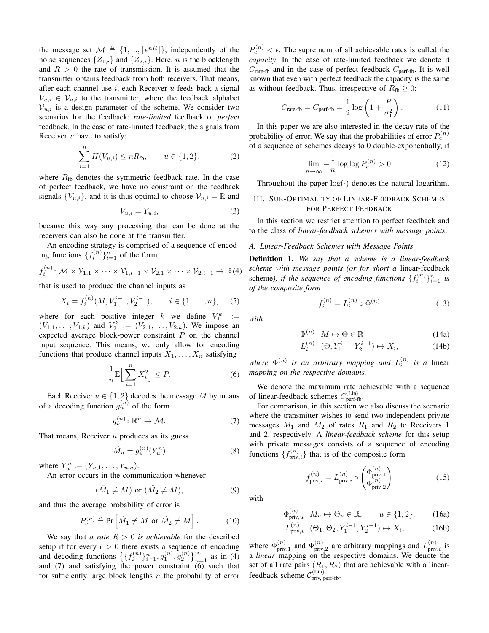the message set  $\mathcal{M} \triangleq \{1, ..., \lfloor e^{nR} \rfloor \}$ , independently of the noise sequences  $\{Z_{1,i}\}\$  and  $\{Z_{2,i}\}\$ . Here, *n* is the blocklength and  $R > 0$  the rate of transmission. It is assumed that the transmitter obtains feedback from both receivers. That means, after each channel use  $i$ , each Receiver  $u$  feeds back a signal  $V_{u,i} \in \mathcal{V}_{u,i}$  to the transmitter, where the feedback alphabet  $V_{u,i}$  is a design parameter of the scheme. We consider two scenarios for the feedback: *rate-limited* feedback or *perfect* feedback. In the case of rate-limited feedback, the signals from Receiver  $u$  have to satisfy:

$$
\sum_{i=1}^{n} H(V_{u,i}) \le nR_{\text{fb}}, \qquad u \in \{1,2\},\tag{2}
$$

where  $R_{\text{fb}}$  denotes the symmetric feedback rate. In the case of perfect feedback, we have no constraint on the feedback signals  $\{V_{u,i}\}\$ , and it is thus optimal to choose  $\mathcal{V}_{u,i} = \mathbb{R}$  and

$$
V_{u,i} = Y_{u,i},\tag{3}
$$

because this way any processing that can be done at the receivers can also be done at the transmitter.

An encoding strategy is comprised of a sequence of encoding functions  $\{f_i^{(n)}\}_{i=1}^n$  of the form

$$
f_i^{(n)}\colon \mathcal{M}\times \mathcal{V}_{1,1}\times \cdots \times \mathcal{V}_{1,i-1}\times \mathcal{V}_{2,1}\times \cdots \times \mathcal{V}_{2,i-1}\to \mathbb{R}(4)
$$

that is used to produce the channel inputs as

$$
X_i = f_i^{(n)}(M, V_1^{i-1}, V_2^{i-1}), \qquad i \in \{1, \dots, n\}, \tag{5}
$$

where for each positive integer k we define  $V_1^k :=$  $(V_{1,1}, \ldots, V_{1,k})$  and  $V_2^k := (V_{2,1}, \ldots, V_{2,k})$ . We impose an expected average block-power constraint  $P$  on the channel input sequence. This means, we only allow for encoding functions that produce channel inputs  $X_1, \ldots, X_n$  satisfying

$$
\frac{1}{n}\mathbb{E}\Big[\sum_{i=1}^{n}X_i^2\Big]\leq P.\tag{6}
$$

Each Receiver  $u \in \{1, 2\}$  decodes the message M by means of a decoding function  $g_u^{(n)}$  of the form

$$
g_u^{(n)} \colon \mathbb{R}^n \to \mathcal{M}.\tag{7}
$$

That means, Receiver  $u$  produces as its guess

$$
\hat{M}_u = g_u^{(n)}(Y_u^n) \tag{8}
$$

where  $Y_u^n := (Y_{u,1}, \ldots, Y_{u,n}).$ 

An error occurs in the communication whenever

$$
(\hat{M}_1 \neq M) \text{ or } (\hat{M}_2 \neq M), \tag{9}
$$

and thus the average probability of error is

$$
P_e^{(n)} \triangleq \Pr\left[\hat{M}_1 \neq M \text{ or } \hat{M}_2 \neq M\right]. \tag{10}
$$

We say that *a rate*  $R > 0$  *is achievable* for the described setup if for every  $\epsilon > 0$  there exists a sequence of encoding and decoding functions  $\left\{ \{f_i^{(n)}\}_{i=1}^n, g_1^{(n)}, g_2^{(n)}\right\}_{n=1}^\infty$  as in (4) and  $(7)$  and satisfying the power constraint  $(6)$  such that for sufficiently large block lengths  $n$  the probability of error

 $P_e^{(n)} < \epsilon$ . The supremum of all achievable rates is called the *capacity*. In the case of rate-limited feedback we denote it  $C_{\text{rate-fb}}$  and in the case of perfect feedback  $C_{\text{perf-fb}}$ . It is well known that even with perfect feedback the capacity is the same as without feedback. Thus, irrespective of  $R_{\text{fb}} \geq 0$ :

$$
C_{\text{rate-fb}} = C_{\text{perf-fb}} = \frac{1}{2} \log \left( 1 + \frac{P}{\sigma_1^2} \right). \tag{11}
$$

In this paper we are also interested in the decay rate of the probability of error. We say that the probabilities of error  $P_e^{(n)}$ of a sequence of schemes decays to 0 double-exponentially, if

$$
\lim_{n \to \infty} -\frac{1}{n} \log \log P_e^{(n)} > 0.
$$
 (12)

Throughout the paper  $log(·)$  denotes the natural logarithm.

# III. SUB-OPTIMALITY OF LINEAR-FEEDBACK SCHEMES FOR PERFECT FEEDBACK

In this section we restrict attention to perfect feedback and to the class of *linear-feedback schemes with message points*.

#### *A. Linear-Feedback Schemes with Message Points*

Definition 1. *We say that a scheme is a linear-feedback scheme with message points (or for short a* linear-feedback scheme), if the sequence of encoding functions  $\{f_i^{(n)}\}_{i=1}^n$  is *of the composite form*

$$
f_i^{(n)} = L_i^{(n)} \circ \Phi^{(n)} \tag{13}
$$

*with*

$$
\Phi^{(n)} \colon M \mapsto \Theta \in \mathbb{R} \tag{14a}
$$

$$
L_i^{(n)}: (\Theta, Y_1^{i-1}, Y_2^{i-1}) \mapsto X_i,\tag{14b}
$$

where  $\Phi^{(n)}$  is an arbitrary mapping and  $L_i^{(n)}$  is a linear *mapping on the respective domains.*

We denote the maximum rate achievable with a sequence of linear-feedback schemes  $C_{\text{perf-fb}}^{(\text{Lin})}$ .

For comparison, in this section we also discuss the scenario where the transmitter wishes to send two independent private messages  $M_1$  and  $M_2$  of rates  $R_1$  and  $R_2$  to Receivers 1 and 2, respectively. A *linear-feedback scheme* for this setup with private messages consists of a sequence of encoding functions  $\{f_{\text{priv},i}^{(n)}\}$  that is of the composite form

 $f_{\mathrm{priv},i}^{(n)}=L_{\mathrm{priv},i}^{(n)}\circ$ 

with

$$
\Phi_{\text{priv},u}^{(n)}: M_u \mapsto \Theta_u \in \mathbb{R}, \qquad u \in \{1,2\}, \tag{16a}
$$

 $\left(\Phi_{\text{priv}}^{(n)}\right)$ priv,1  $\Phi_{\rm{priv}}^{(n)}$ priv,2

 $\setminus$ 

(15)

$$
L_{\text{priv},i}^{(n)}: (\Theta_1, \Theta_2, Y_1^{i-1}, Y_2^{i-1}) \mapsto X_i,
$$
 (16b)

where  $\Phi_{\text{priv}}^{(n)}$  $\binom{n}{\text{priv},1}$  and  $\Phi_{\text{priv}}^{(n)}$  $\binom{n}{\text{priv},2}$  are arbitrary mappings and  $L^{(n)}_{\text{priv},i}$  is a *linear* mapping on the respective domains. We denote the set of all rate pairs  $(R_1, R_2)$  that are achievable with a linearfeedback scheme  $\mathcal{C}_{\text{priv, perf-fb}}^{(\text{Lin})}$ .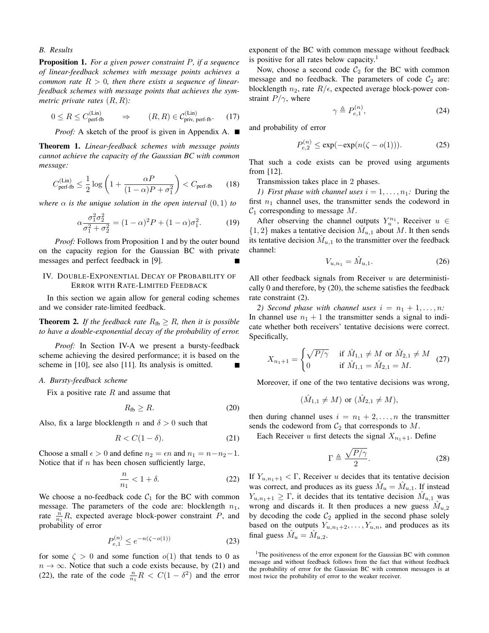#### *B. Results*

Proposition 1. *For a given power constraint* P*, if a sequence of linear-feedback schemes with message points achieves a common rate*  $R > 0$ , then there exists a sequence of linear*feedback schemes with message points that achieves the symmetric private rates* (R, R)*:*

$$
0 \le R \le C_{\text{perf-fb}}^{(\text{Lin})} \qquad \Rightarrow \qquad (R, R) \in C_{\text{priv, perf-fb}}^{(\text{Lin})}. \tag{17}
$$

*Proof:* A sketch of the proof is given in Appendix A. ■

Theorem 1. *Linear-feedback schemes with message points cannot achieve the capacity of the Gaussian BC with common message:*

$$
C_{\text{perf-fb}}^{(\text{Lin})} \le \frac{1}{2} \log \left( 1 + \frac{\alpha P}{(1 - \alpha)P + \sigma_1^2} \right) < C_{\text{perf-fb}} \tag{18}
$$

*where*  $\alpha$  *is the unique solution in the open interval*  $(0, 1)$  *to* 

$$
\alpha \frac{\sigma_1^2 \sigma_2^2}{\sigma_1^2 + \sigma_2^2} = (1 - \alpha)^2 P + (1 - \alpha) \sigma_1^2.
$$
 (19)

*Proof:* Follows from Proposition 1 and by the outer bound on the capacity region for the Gaussian BC with private messages and perfect feedback in [9].

# IV. DOUBLE-EXPONENTIAL DECAY OF PROBABILITY OF ERROR WITH RATE-LIMITED FEEDBACK

In this section we again allow for general coding schemes and we consider rate-limited feedback.

**Theorem 2.** If the feedback rate  $R_{\text{fb}} \geq R$ , then it is possible *to have a double-exponential decay of the probability of error.*

*Proof:* In Section IV-A we present a bursty-feedback scheme achieving the desired performance; it is based on the scheme in [10], see also [11]. Its analysis is omitted.

## *A. Bursty-feedback scheme*

Fix a positive rate  $R$  and assume that

$$
R_{\text{fb}} \ge R. \tag{20}
$$

Also, fix a large blocklength n and  $\delta > 0$  such that

$$
R < C(1 - \delta). \tag{21}
$$

Choose a small  $\epsilon > 0$  and define  $n_2 = \epsilon n$  and  $n_1 = n - n_2 - 1$ . Notice that if  $n$  has been chosen sufficiently large,

$$
\frac{n}{n_1} < 1 + \delta. \tag{22}
$$

We choose a no-feedback code  $C_1$  for the BC with common message. The parameters of the code are: blocklength  $n_1$ , rate  $\frac{n}{n_1}R$ , expected average block-power constraint P, and probability of error

$$
P_{e,1}^{(n)} \le e^{-n(\zeta - o(1))} \tag{23}
$$

for some  $\zeta > 0$  and some function  $o(1)$  that tends to 0 as  $n \to \infty$ . Notice that such a code exists because, by (21) and (22), the rate of the code  $\frac{n}{n_1}R < C(1 - \delta^2)$  and the error

exponent of the BC with common message without feedback is positive for all rates below capacity.<sup>1</sup>

Now, choose a second code  $C_2$  for the BC with common message and no feedback. The parameters of code  $C_2$  are: blocklength  $n_2$ , rate  $R/\epsilon$ , expected average block-power constraint  $P/\gamma$ , where

$$
\gamma \triangleq P_{e,1}^{(n)},\tag{24}
$$

and probability of error

$$
P_{e,2}^{(n)} \le \exp(-\exp(n(\zeta - o(1))).
$$
 (25)

That such a code exists can be proved using arguments from [12].

Transmission takes place in 2 phases.

*1)* First phase with channel uses  $i = 1, \ldots, n_1$ : During the first  $n_1$  channel uses, the transmitter sends the codeword in  $C_1$  corresponding to message M.

After observing the channel outputs  $Y_u^{n_1}$ , Receiver  $u \in$  $\{1, 2\}$  makes a tentative decision  $\hat{M}_{u,1}$  about M. It then sends its tentative decision  $\hat{M}_{u,1}$  to the transmitter over the feedback channel:

$$
V_{u,n_1} = \hat{M}_{u,1}.
$$
 (26)

All other feedback signals from Receiver  $u$  are deterministically 0 and therefore, by (20), the scheme satisfies the feedback rate constraint (2).

*2)* Second phase with channel uses  $i = n_1 + 1, \ldots, n$ : In channel use  $n_1 + 1$  the transmitter sends a signal to indicate whether both receivers' tentative decisions were correct. Specifically,

$$
X_{n_1+1} = \begin{cases} \sqrt{P/\gamma} & \text{if } \hat{M}_{1,1} \neq M \text{ or } \hat{M}_{2,1} \neq M \\ 0 & \text{if } \hat{M}_{1,1} = \hat{M}_{2,1} = M. \end{cases} \tag{27}
$$

Moreover, if one of the two tentative decisions was wrong,

$$
(\hat{M}_{1,1} \neq M)
$$
 or  $(\hat{M}_{2,1} \neq M)$ ,

then during channel uses  $i = n_1 + 2, ..., n$  the transmitter sends the codeword from  $C_2$  that corresponds to  $M$ .

Each Receiver u first detects the signal  $X_{n_1+1}$ . Define

$$
\Gamma \triangleq \frac{\sqrt{P/\gamma}}{2}.\tag{28}
$$

If  $Y_{u,n_1+1} < \Gamma$ , Receiver u decides that its tentative decision was correct, and produces as its guess  $\hat{M}_u = \hat{M}_{u,1}$ . If instead  $Y_{u,n_1+1} \geq \Gamma$ , it decides that its tentative decision  $\hat{M}_{u,1}$  was wrong and discards it. It then produces a new guess  $\hat{M}_{u,2}$ by decoding the code  $C_2$  applied in the second phase solely based on the outputs  $Y_{u,n_1+2}, \ldots, Y_{u,n}$ , and produces as its final guess  $\hat{M}_u = \hat{M}_{u,2}$ .

<sup>&</sup>lt;sup>1</sup>The positiveness of the error exponent for the Gaussian BC with common message and without feedback follows from the fact that without feedback the probability of error for the Gaussian BC with common messages is at most twice the probability of error to the weaker receiver.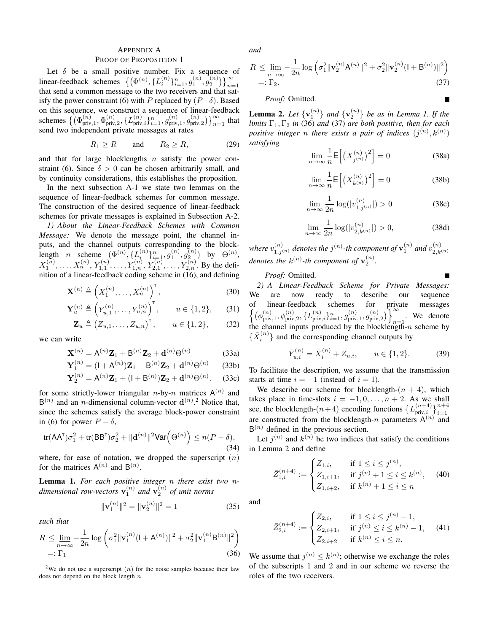# APPENDIX A

#### PROOF OF PROPOSITION 1

Let  $\delta$  be a small positive number. Fix a sequence of linear-feedback schemes  $\{(\Phi^{(n)}, \{L_i^{(n)}\}_{i=1}^n, g_1^{(n)}, g_2^{(n)})\}_{n=1}^\infty$ that send a common message to the two receivers and that satisfy the power constraint (6) with P replaced by  $(P-\delta)$ . Based on this sequence, we construct a sequence of linear-feedback schemes  $\left\{ \phi_{\text{priv}}^{(n)} \right\}$  $_{\rm priv,1}^{(n)},\Phi_{\rm priv}^{(n)}$  $\lim_{\text{priv}, 2}$ ,  $\{L_{\text{priv}, i}^{(n)}\}_{i=1}^{n}, g_{\text{priv}}^{(n)}$  $g_{\text{priv},1}^{(n)}, g_{\text{priv}}^{(n)}$  $\binom{n}{\text{priv},2}$   $\}$   $\infty$  that send two independent private messages at rates

$$
R_1 \ge R \qquad \text{and} \qquad R_2 \ge R, \tag{29}
$$

and that for large blocklengths  $n$  satisfy the power constraint (6). Since  $\delta > 0$  can be chosen arbitrarily small, and by continuity considerations, this establishes the proposition.

In the next subsection A-1 we state two lemmas on the sequence of linear-feedback schemes for common message. The construction of the desired sequence of linear-feedback schemes for private messages is explained in Subsection A-2.

*1) About the Linear-Feedback Schemes with Common Message:* We denote the message point, the channel inputs, and the channel outputs corresponding to the blocklength *n* scheme  $(\Phi^{(n)}, \{L_i^{(n)}\}_{i=1}^n, g_1^{(n)}, g_2^{(n)})$  by  $\Theta^{(n)}$ ,  $X_1^{(n)}, \ldots, X_n^{(n)}, Y_{1,1}^{(n)}, \ldots, Y_{1,n}^{(n)}, Y_{2,1}^{(n)}, \ldots, Y_{2,n}^{(n)}$ . By the definition of a linear-feedback coding scheme in (16), and defining

$$
\mathbf{X}^{(n)} \triangleq \left(X_1^{(n)}, \dots, X_n^{(n)}\right)^{\mathsf{T}},\tag{30}
$$

$$
\mathbf{Y}_{u}^{(n)} \triangleq \left(Y_{u,1}^{(n)}, \dots, Y_{u,n}^{(n)}\right)^{\mathsf{T}}, \qquad u \in \{1,2\},\qquad(31)
$$

$$
\mathbf{Z}_u \triangleq (Z_{u,1}, \dots, Z_{u,n})^{\mathsf{T}}, \qquad u \in \{1,2\},\qquad(32)
$$

we can write

$$
\mathbf{X}^{(n)} = \mathbf{A}^{(n)} \mathbf{Z}_1 + \mathbf{B}^{(n)} \mathbf{Z}_2 + \mathbf{d}^{(n)} \Theta^{(n)}
$$
(33a)

$$
\mathbf{Y}_1^{(n)} = (I + A^{(n)})\mathbf{Z}_1 + B^{(n)}\mathbf{Z}_2 + \mathbf{d}^{(n)}\Theta^{(n)} \qquad (33b)
$$

$$
\mathbf{Y}_2^{(n)} = \mathbf{A}^{(n)} \mathbf{Z}_1 + (\mathbf{I} + \mathbf{B}^{(n)}) \mathbf{Z}_2 + \mathbf{d}^{(n)} \Theta^{(n)}.
$$
 (33c)

for some strictly-lower triangular *n*-by-*n* matrices  $A^{(n)}$  and  $B^{(n)}$  and an *n*-dimensional column-vector  $d^{(n)}$ <sup>2</sup>. Notice that, since the schemes satisfy the average block-power constraint in (6) for power  $P - \delta$ ,

$$
\text{tr}(\mathsf{A}\mathsf{A}^{\mathsf{T}})\sigma_1^2 + \text{tr}(\mathsf{B}\mathsf{B}^{\mathsf{T}})\sigma_2^2 + \|\mathbf{d}^{(n)}\|^2 \text{Var}\Big(\Theta^{(n)}\Big) \le n(P - \delta),\tag{34}
$$

where, for ease of notation, we dropped the superscript  $(n)$ for the matrices  $A^{(n)}$  and  $B^{(n)}$ .

Lemma 1. *For each positive integer* n *there exist two* ndimensional row-vectors  $\mathbf{v}_1^{(n)}$  and  $\mathbf{v}_2^{(n)}$  of unit norms

$$
\|\mathbf{v}_1^{(n)}\|^2 = \|\mathbf{v}_2^{(n)}\|^2 = 1\tag{35}
$$

*such that*

$$
R \le \lim_{n \to \infty} -\frac{1}{2n} \log \left( \sigma_1^2 \|\mathbf{v}_1^{(n)}(1 + \mathbf{A}^{(n)})\|^2 + \sigma_2^2 \|\mathbf{v}_1^{(n)}\mathbf{B}^{(n)}\|^2 \right)
$$
  
=:  $\Gamma_1$  (36)

<sup>2</sup>We do not use a superscript  $(n)$  for the noise samples because their law does not depend on the block length  $n$ .

*and*

$$
R \le \lim_{n \to \infty} -\frac{1}{2n} \log \left( \sigma_1^2 \|\mathbf{v}_2^{(n)} \mathbf{A}^{(n)}\|^2 + \sigma_2^2 \|\mathbf{v}_2^{(n)} (1 + \mathbf{B}^{(n)})\|^2 \right)
$$
  
=:  $\Gamma_2$ . (37)

*Proof:* Omitted.

**Lemma 2.** Let  $\{v_1^{(n)}\}$  and  $\{v_2^{(n)}\}$  be as in Lemma 1. If the *limits*  $\Gamma_1$ ,  $\Gamma_2$  *in* (36) *and* (37) *are both positive, then for each* positive integer *n* there exists a pair of indices  $(j^{(n)}, k^{(n)})$ *satisfying*

$$
\lim_{n \to \infty} \frac{1}{n} \mathsf{E}\left[ \left( X_{j^{(n)}}^{(n)} \right)^2 \right] = 0 \tag{38a}
$$

$$
\lim_{n \to \infty} \frac{1}{n} \mathsf{E}\left[ \left( X_{k^{(n)}}^{(n)} \right)^2 \right] = 0 \tag{38b}
$$

$$
\lim_{n \to \infty} \frac{1}{2n} \log(|v_{1,j^{(n)}}^{(n)}|) > 0
$$
\n(38c)

$$
\lim_{n \to \infty} \frac{1}{2n} \log(|v_{2,k^{(n)}}^{(n)}|) > 0,
$$
\n(38d)

where  $v_{1,j^{(n)}}^{(n)}$  denotes the  $j^{(n)}$ -th component of  $\mathbf{v}_1^{(n)}$  and  $v_{2,k}^{(n)}$  $2, k^{(n)}$ denotes the  $k^{(n)}$ -th component of  $v_2^{(n)}$ .

## *Proof:* Omitted.

*2) A Linear-Feedback Scheme for Private Messages:* We are now ready to describe our sequence of linear-feedback schemes for private messages  $\left\{ \left( \phi_{\text{priv}}^{(n)} \right)$  $\binom{(n)}{\text{priv},1}, \phi^{(n)}_{\text{priv},2}, \{L^{(n)}_{\text{priv},i}\}_{i=1}^n, g^{(n)}_{\text{priv}}$  $g_{\text{priv},1}^{(n)}, g_{\text{priv}}^{(n)}$  $\begin{pmatrix} (n) \\ \text{priv}, 2 \end{pmatrix}$   $\begin{pmatrix} (n) \\ n=1 \end{pmatrix}$ . We denote the channel inputs produced by the blocklength- $n$  scheme by  $\{\bar{X}_i^{(n)}\}$  and the corresponding channel outputs by

$$
\bar{Y}_{u,i}^{(n)} = \bar{X}_i^{(n)} + Z_{u,i}, \qquad u \in \{1,2\}.
$$
 (39)

To facilitate the description, we assume that the transmission starts at time  $i = -1$  (instead of  $i = 1$ ).

We describe our scheme for blocklength- $(n + 4)$ , which takes place in time-slots  $i = -1, 0, \ldots, n + 2$ . As we shall see, the blocklength- $(n+4)$  encoding functions  $\left\{L_{\text{priv},i}^{(n+4)}\right\}_{i=1}^{n+4}$ are constructed from the blocklength-n parameters  $A^{(n)}$  and  $B^{(n)}$  defined in the previous section.

Let  $j^{(n)}$  and  $k^{(n)}$  be two indices that satisfy the conditions in Lemma 2 and define

$$
\bar{Z}_{1,i}^{(n+4)} := \begin{cases} Z_{1,i}, & \text{if } 1 \le i \le j^{(n)}, \\ Z_{1,i+1}, & \text{if } j^{(n)} + 1 \le i \le k^{(n)}, \\ Z_{1,i+2}, & \text{if } k^{(n)} + 1 \le i \le n \end{cases} \tag{40}
$$

and

$$
\bar{Z}_{2,i}^{(n+4)} := \begin{cases} Z_{2,i}, & \text{if } 1 \le i \le j^{(n)} - 1, \\ Z_{2,i+1}, & \text{if } j^{(n)} \le i \le k^{(n)} - 1, \\ Z_{2,i+2} & \text{if } k^{(n)} \le i \le n. \end{cases} \tag{41}
$$

We assume that  $j^{(n)} \leq k^{(n)}$ ; otherwise we exchange the roles of the subscripts 1 and 2 and in our scheme we reverse the roles of the two receivers.